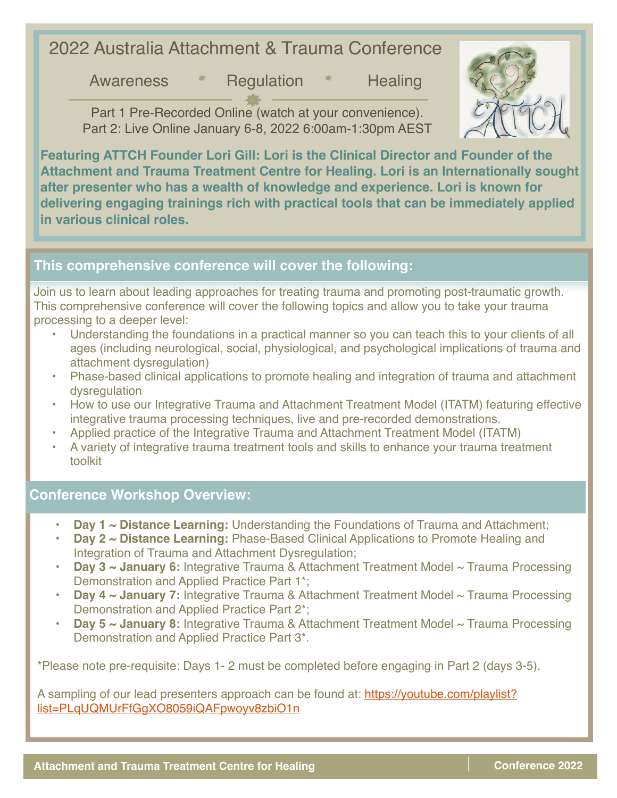# 2022 Australia Attachment & Trauma Conference

Awareness Regulation Healing

Part 1 Pre-Recorded Online (watch at your convenience). Part 2: Live Online January 6-8, 2022 6:00am-1:30pm AEST



**Featuring ATTCH Founder Lori Gill: Lori is the Clinical Director and Founder of the Attachment and Trauma Treatment Centre for Healing. Lori is an Internationally sought after presenter who has a wealth of knowledge and experience. Lori is known for delivering engaging trainings rich with practical tools that can be immediately applied in various clinical roles.**

## **This comprehensive conference will cover the following:**

Join us to learn about leading approaches for treating trauma and promoting post-traumatic growth. This comprehensive conference will cover the following topics and allow you to take your trauma processing to a deeper level:

- Understanding the foundations in a practical manner so you can teach this to your clients of all ages (including neurological, social, physiological, and psychological implications of trauma and attachment dysregulation)
- Phase-based clinical applications to promote healing and integration of trauma and attachment dysregulation
- How to use our Integrative Trauma and Attachment Treatment Model (ITATM) featuring effective integrative trauma processing techniques, live and pre-recorded demonstrations.
- Applied practice of the Integrative Trauma and Attachment Treatment Model (ITATM)
- A variety of integrative trauma treatment tools and skills to enhance your trauma treatment toolkit

## **Conference Workshop Overview:**

- **Day 1 ~ Distance Learning:** Understanding the Foundations of Trauma and Attachment;
- **Day 2 ~ Distance Learning:** Phase-Based Clinical Applications to Promote Healing and Integration of Trauma and Attachment Dysregulation;
- **Day 3 ~ January 6:** Integrative Trauma & Attachment Treatment Model ~ Trauma Processing Demonstration and Applied Practice Part 1\*;
- **Day 4 ~ January 7:** Integrative Trauma & Attachment Treatment Model ~ Trauma Processing Demonstration and Applied Practice Part 2\*;
- **Day 5 ~ January 8:** Integrative Trauma & Attachment Treatment Model ~ Trauma Processing Demonstration and Applied Practice Part 3\*.

\*Please note pre-requisite: Days 1- 2 must be completed before engaging in Part 2 (days 3-5).

A sampling of our lead presenters approach can be found at: [https://youtube.com/playlist?](https://youtube.com/playlist?list=PLqUQMUrFfGgXO8059iQAFpwoyv8zbiO1n) [list=PLqUQMUrFfGgXO8059iQAFpwoyv8zbiO1n](https://youtube.com/playlist?list=PLqUQMUrFfGgXO8059iQAFpwoyv8zbiO1n)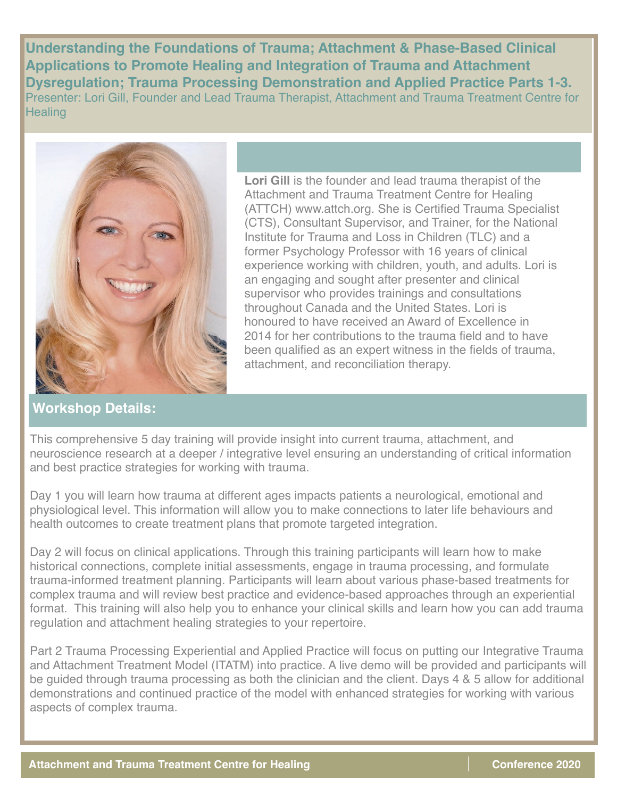**Understanding the Foundations of Trauma; Attachment & Phase-Based Clinical Applications to Promote Healing and Integration of Trauma and Attachment Dysregulation; Trauma Processing Demonstration and Applied Practice Parts 1-3.**  Presenter: Lori Gill, Founder and Lead Trauma Therapist, Attachment and Trauma Treatment Centre for **Healing** 



**Lori Gill** is the founder and lead trauma therapist of the Attachment and Trauma Treatment Centre for Healing (ATTCH) [www.attch.org](http://www.attachment-and-trauma-treatment-centre-for-healing.com/)[. She is Certified Trauma Specialist](http://www.starrtraining.org/lori-gill-msw)  [\(CTS\), Consultant Supervisor, and Trainer,](http://www.starrtraining.org/lori-gill-msw) for the National Institute for Trauma and Loss in Children (TLC) and a former Psychology Professor with 16 years of clinical experience working with children, youth, and adults. Lori is an engaging and sought after presenter and clinical supervisor who provides trainings and consultations throughout Canada and the United States. Lori is honoured to have received an Award of Excellence in 2014 for her contributions to the trauma field and to have been qualified as an expert witness in the fields of trauma, attachment, and reconciliation therapy.

### **Workshop Details:**

This comprehensive 5 day training will provide insight into current trauma, attachment, and neuroscience research at a deeper / integrative level ensuring an understanding of critical information and best practice strategies for working with trauma.

Day 1 you will learn how trauma at different ages impacts patients a neurological, emotional and physiological level. This information will allow you to make connections to later life behaviours and health outcomes to create treatment plans that promote targeted integration.

Day 2 will focus on clinical applications. Through this training participants will learn how to make historical connections, complete initial assessments, engage in trauma processing, and formulate trauma-informed treatment planning. Participants will learn about various phase-based treatments for complex trauma and will review best practice and evidence-based approaches through an experiential format. This training will also help you to enhance your clinical skills and learn how you can add trauma regulation and attachment healing strategies to your repertoire.

Part 2 Trauma Processing Experiential and Applied Practice will focus on putting our Integrative Trauma and Attachment Treatment Model (ITATM) into practice. A live demo will be provided and participants will be guided through trauma processing as both the clinician and the client. Days 4 & 5 allow for additional demonstrations and continued practice of the model with enhanced strategies for working with various aspects of complex trauma.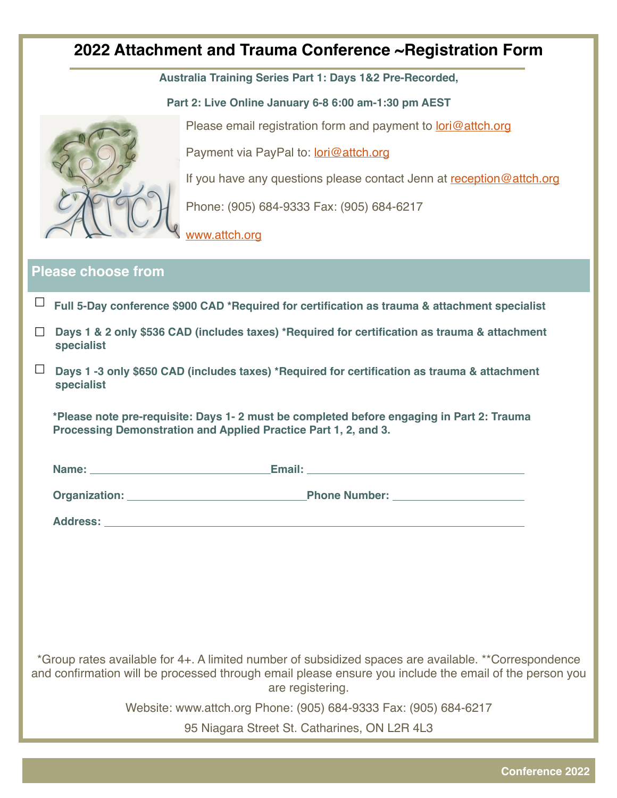## **2022 Attachment and Trauma Conference ~Registration Form**

**Australia Training Series Part 1: Days 1&2 Pre-Recorded,**

**Part 2: Live Online January 6-8 6:00 am-1:30 pm AEST** 



Please email registration form and payment to [lori@attch.org](mailto:lori@attch.org)

Payment via PayPal to: [lori@attch.org](mailto:lori@attch.org)

If you have any questions please contact Jenn at reception@attch.org

Phone: (905) 684-9333 Fax: (905) 684-6217

#### [www.attch.org](http://www.attch.org)

#### **Please choose from**

- **Full 5-Day conference \$900 CAD \*Required for certification as trauma & attachment specialist** ☐
- **Days 1 & 2 only \$536 CAD (includes taxes) \*Required for certification as trauma & attachment**  ☐ **specialist**
- **Days 1 -3 only \$650 CAD (includes taxes) \*Required for certification as trauma & attachment**  ☐**specialist**

**\*Please note pre-requisite: Days 1- 2 must be completed before engaging in Part 2: Trauma Processing Demonstration and Applied Practice Part 1, 2, and 3.**

| Name:           | Email:               |  |
|-----------------|----------------------|--|
| Organization:   | <b>Phone Number:</b> |  |
| <b>Address:</b> |                      |  |

\*Group rates available for 4+. A limited number of subsidized spaces are available. \*\*Correspondence and confirmation will be processed through email please ensure you include the email of the person you are registering.

Website: www.attch.org Phone: (905) 684-9333 Fax: (905) 684-6217

95 Niagara Street St. Catharines, ON L2R 4L3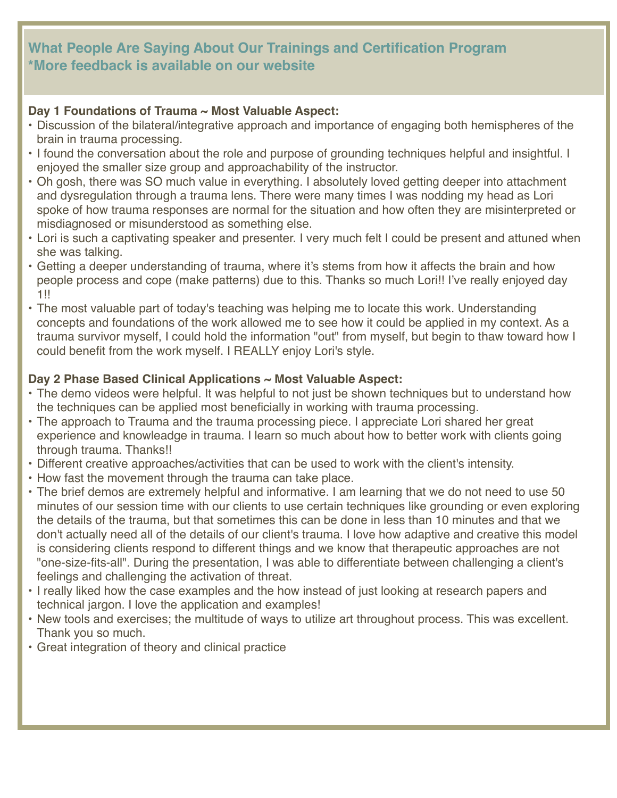## **What People Are Saying About Our Trainings and Certification Program \*More feedback is available on our website**

#### **Day 1 Foundations of Trauma ~ Most Valuable Aspect:**

- Discussion of the bilateral/integrative approach and importance of engaging both hemispheres of the brain in trauma processing.
- I found the conversation about the role and purpose of grounding techniques helpful and insightful. I enjoyed the smaller size group and approachability of the instructor.
- Oh gosh, there was SO much value in everything. I absolutely loved getting deeper into attachment and dysregulation through a trauma lens. There were many times I was nodding my head as Lori spoke of how trauma responses are normal for the situation and how often they are misinterpreted or misdiagnosed or misunderstood as something else.
- Lori is such a captivating speaker and presenter. I very much felt I could be present and attuned when she was talking.
- Getting a deeper understanding of trauma, where it's stems from how it affects the brain and how people process and cope (make patterns) due to this. Thanks so much Lori!! I've really enjoyed day 1!!
- The most valuable part of today's teaching was helping me to locate this work. Understanding concepts and foundations of the work allowed me to see how it could be applied in my context. As a trauma survivor myself, I could hold the information "out" from myself, but begin to thaw toward how I could benefit from the work myself. I REALLY enjoy Lori's style.

#### **Day 2 Phase Based Clinical Applications ~ Most Valuable Aspect:**

- The demo videos were helpful. It was helpful to not just be shown techniques but to understand how the techniques can be applied most beneficially in working with trauma processing.
- The approach to Trauma and the trauma processing piece. I appreciate Lori shared her great experience and knowleadge in trauma. I learn so much about how to better work with clients going through trauma. Thanks!!
- Different creative approaches/activities that can be used to work with the client's intensity.
- How fast the movement through the trauma can take place.
- The brief demos are extremely helpful and informative. I am learning that we do not need to use 50 minutes of our session time with our clients to use certain techniques like grounding or even exploring the details of the trauma, but that sometimes this can be done in less than 10 minutes and that we don't actually need all of the details of our client's trauma. I love how adaptive and creative this model is considering clients respond to different things and we know that therapeutic approaches are not "one-size-fits-all". During the presentation, I was able to differentiate between challenging a client's feelings and challenging the activation of threat.
- I really liked how the case examples and the how instead of just looking at research papers and technical jargon. I love the application and examples!
- New tools and exercises; the multitude of ways to utilize art throughout process. This was excellent. Thank you so much.
- Great integration of theory and clinical practice